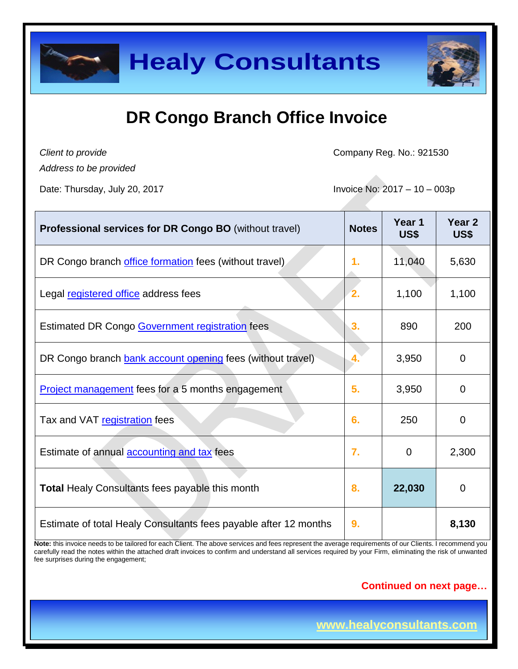

*Client to provide*

Company Reg. No.: 921530

*Address to be provided*

Date: Thursday, July 20, 2017 **Invoice No. 2017** - 10 – 003p

| <b>Professional services for DR Congo BO</b> (without travel)    | <b>Notes</b> | Year 1<br>US\$ | Year <sub>2</sub><br>US\$ |
|------------------------------------------------------------------|--------------|----------------|---------------------------|
| DR Congo branch office formation fees (without travel)           | 1.           | 11,040         | 5,630                     |
| Legal registered office address fees                             | 2.           | 1,100          | 1,100                     |
| <b>Estimated DR Congo Government registration fees</b>           | 3.           | 890            | 200                       |
| DR Congo branch bank account opening fees (without travel)       | 4.           | 3,950          | 0                         |
| <b>Project management</b> fees for a 5 months engagement         | 5.           | 3,950          | $\mathbf 0$               |
| Tax and VAT registration fees                                    | 6.           | 250            | 0                         |
| Estimate of annual <b>accounting and tax</b> fees                | 7.           | $\Omega$       | 2,300                     |
| <b>Total Healy Consultants fees payable this month</b>           | 8.           | 22,030         | $\Omega$                  |
| Estimate of total Healy Consultants fees payable after 12 months | 9.           |                | 8,130                     |

Note: this invoice needs to be tailored for each Client. The above services and fees represent the average requirements of our Clients. I recommend you carefully read the notes within the attached draft invoices to confirm and understand all services required by your Firm, eliminating the risk of unwanted fee surprises during the engagement;

#### **Continued on next page…**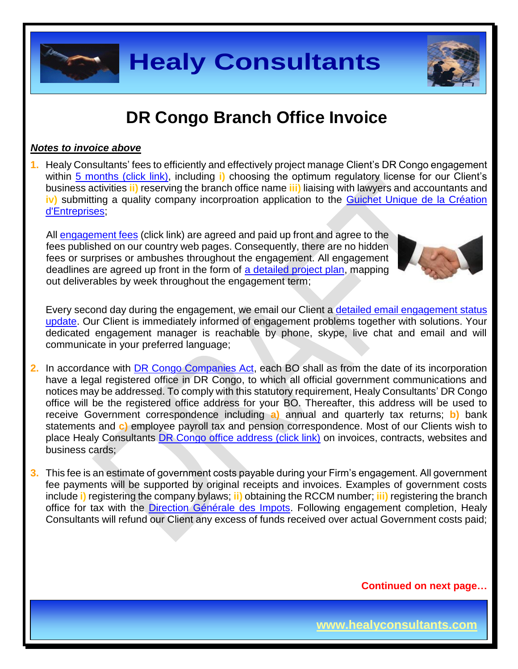

#### *Notes to invoice above*

**1.** Healy Consultants' fees to efficiently and effectively project manage Client's DR Congo engagement within 5 [months \(click link\),](http://www.healyconsultants.com/democratic-republic-of-congo-company-registration/fees-timelines/#timelines) including **i)** choosing the optimum regulatory license for our Client's business activities **ii)** reserving the branch office name **iii)** liaising with lawyers and accountants and **iv)** submitting a quality company incorproation application to the Guichet Unique de la Création [d'Entreprises;](http://fr.guichetunique.cd/)

All [engagement fees](http://www.healyconsultants.com/company-registration-fees/) (click link) are agreed and paid up front and agree to the fees published on our country web pages. Consequently, there are no hidden fees or surprises or ambushes throughout the engagement. All engagement deadlines are agreed up front in the form of [a detailed project plan,](http://www.healyconsultants.com/index-important-links/example-project-plan/) mapping out deliverables by week throughout the engagement term;



Every second day during the engagement, we email our Client a [detailed email engagement status](http://www.healyconsultants.com/index-important-links/weekly-engagement-status-email/)  [update.](http://www.healyconsultants.com/index-important-links/weekly-engagement-status-email/) Our Client is immediately informed of engagement problems together with solutions. Your dedicated engagement manager is reachable by phone, skype, live chat and email and will communicate in your preferred language;

- **2.** In accordance with [DR Congo Companies Act,](http://www.ohada.com/actes-uniformes.html) each BO shall as from the date of its incorporation have a legal registered office in DR Congo, to which all official government communications and notices may be addressed. To comply with this statutory requirement, Healy Consultants' DR Congo office will be the registered office address for your BO. Thereafter, this address will be used to receive Government correspondence including **a)** annual and quarterly tax returns; **b)** bank statements and **c)** employee payroll tax and pension correspondence. Most of our Clients wish to place Healy Consultants [DR Congo office address \(click link\)](http://www.healyconsultants.com/virtual-office/) on invoices, contracts, websites and business cards:
- **3.** This fee is an estimate of government costs payable during your Firm's engagement. All government fee payments will be supported by original receipts and invoices. Examples of government costs include **i)** registering the company bylaws; **ii)** obtaining the RCCM number; **iii)** registering the branch office for tax with the [Direction Générale des Impots.](http://www.dgi.gouv.cd/) Following engagement completion, Healy Consultants will refund our Client any excess of funds received over actual Government costs paid;

**Continued on next page…**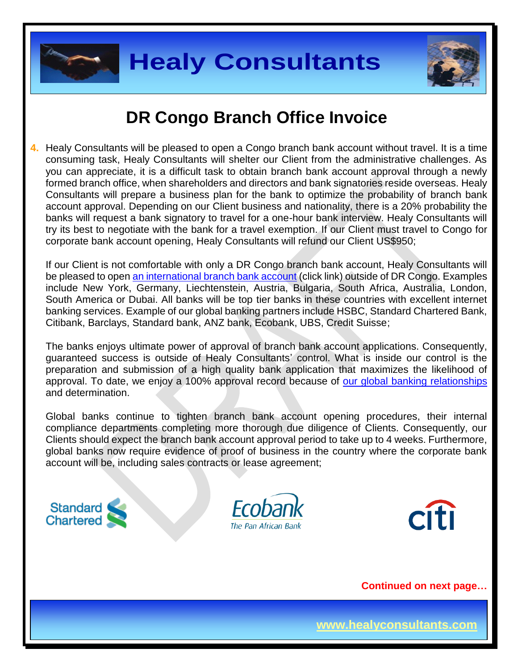



### **DR Congo Branch Office Invoice**

**4.** Healy Consultants will be pleased to open a Congo branch bank account without travel. It is a time consuming task, Healy Consultants will shelter our Client from the administrative challenges. As you can appreciate, it is a difficult task to obtain branch bank account approval through a newly formed branch office, when shareholders and directors and bank signatories reside overseas. Healy Consultants will prepare a business plan for the bank to optimize the probability of branch bank account approval. Depending on our Client business and nationality, there is a 20% probability the banks will request a bank signatory to travel for a one-hour bank interview. Healy Consultants will try its best to negotiate with the bank for a travel exemption. If our Client must travel to Congo for corporate bank account opening, Healy Consultants will refund our Client US\$950;

If our Client is not comfortable with only a DR Congo branch bank account, Healy Consultants will be pleased to ope[n an international branch](http://www.healyconsultants.com/international-banking/) bank account (click link) outside of DR Congo. Examples include New York, Germany, Liechtenstein, Austria, Bulgaria, South Africa, Australia, London, South America or Dubai. All banks will be top tier banks in these countries with excellent internet banking services. Example of our global banking partners include HSBC, Standard Chartered Bank, Citibank, Barclays, Standard bank, ANZ bank, Ecobank, UBS, Credit Suisse;

The banks enjoys ultimate power of approval of branch bank account applications. Consequently, guaranteed success is outside of Healy Consultants' control. What is inside our control is the preparation and submission of a high quality bank application that maximizes the likelihood of approval. To date, we enjoy a 100% approval record because of [our global banking relationships](http://www.healyconsultants.com/international-banking/corporate-accounts/) and determination.

Global banks continue to tighten branch bank account opening procedures, their internal compliance departments completing more thorough due diligence of Clients. Consequently, our Clients should expect the branch bank account approval period to take up to 4 weeks. Furthermore, global banks now require evidence of proof of business in the country where the corporate bank account will be, including sales contracts or lease agreement;







**Continued on next page…**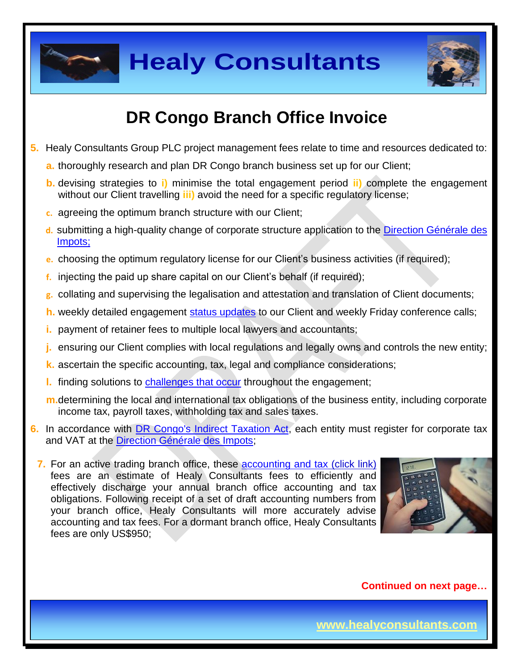



# **DR Congo Branch Office Invoice**

- **5.** Healy Consultants Group PLC project management fees relate to time and resources dedicated to:
	- **a.** thoroughly research and plan DR Congo branch business set up for our Client;
	- **b.** devising strategies to **i)** minimise the total engagement period **ii)** complete the engagement without our Client travelling **iii)** avoid the need for a specific regulatory license;
	- **c.** agreeing the optimum branch structure with our Client;
	- **d.** submitting a high-quality change of corporate structure application to the [Direction Générale des](http://www.dgi.gouv.cd/)  [Impots;](http://www.dgi.gouv.cd/)
	- **e.** choosing the optimum regulatory license for our Client's business activities (if required);
	- **f.** injecting the paid up share capital on our Client's behalf (if required);
	- **g.** collating and supervising the legalisation and attestation and translation of Client documents;
	- **h.** weekly detailed engagement [status updates](http://www.healyconsultants.com/index-important-links/weekly-engagement-status-email/) to our Client and weekly Friday conference calls;
	- **i.** payment of retainer fees to multiple local lawyers and accountants;
	- **j.** ensuring our Client complies with local regulations and legally owns and controls the new entity;
	- **k.** ascertain the specific accounting, tax, legal and compliance considerations;
	- **l.** finding solutions to [challenges that occur](http://www.healyconsultants.com/engagement-project-management/) throughout the engagement;
	- **m.**determining the local and international tax obligations of the business entity, including corporate income tax, payroll taxes, withholding tax and sales taxes.
- **6.** In accordance with [DR Congo's Indirect Taxation Act,](http://www.loc.gov/law/foreign-news/article/congo-the-democratic-republic-of-the-new-tax-measures-adopted/) each entity must register for corporate tax and VAT at the [Direction Générale des Impots;](http://impots-gouv.cg/communications/index)

**7.** For an active trading branch office, these **accounting and tax (click link)** fees are an estimate of Healy Consultants fees to efficiently and effectively discharge your annual branch office accounting and tax obligations. Following receipt of a set of draft accounting numbers from your branch office, Healy Consultants will more accurately advise accounting and tax fees. For a dormant branch office, Healy Consultants fees are only US\$950;



**Continued on next page…**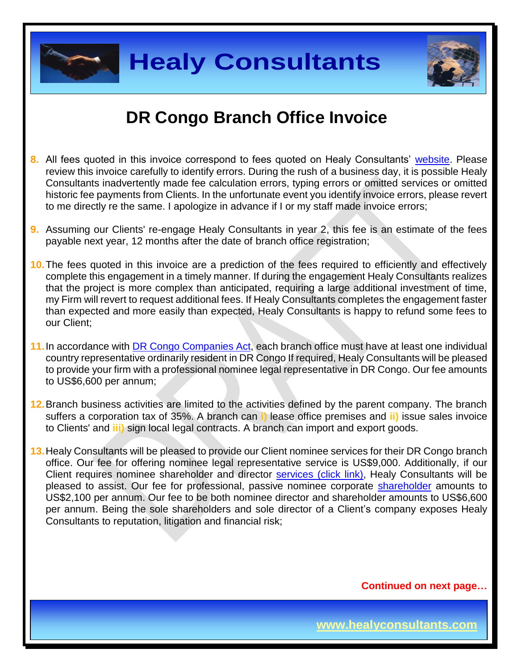



## **DR Congo Branch Office Invoice**

- **8.** All fees quoted in this invoice correspond to fees quoted on Healy Consultants' [website.](http://www.healyconsultants.com/company-registration-fees/) Please review this invoice carefully to identify errors. During the rush of a business day, it is possible Healy Consultants inadvertently made fee calculation errors, typing errors or omitted services or omitted historic fee payments from Clients. In the unfortunate event you identify invoice errors, please revert to me directly re the same. I apologize in advance if I or my staff made invoice errors;
- **9.** Assuming our Clients' re-engage Healy Consultants in year 2, this fee is an estimate of the fees payable next year, 12 months after the date of branch office registration;
- **10.**The fees quoted in this invoice are a prediction of the fees required to efficiently and effectively complete this engagement in a timely manner. If during the engagement Healy Consultants realizes that the project is more complex than anticipated, requiring a large additional investment of time, my Firm will revert to request additional fees. If Healy Consultants completes the engagement faster than expected and more easily than expected, Healy Consultants is happy to refund some fees to our Client;
- 11. In accordance with **DR Congo Companies Act**, each branch office must have at least one individual country representative ordinarily resident in DR Congo If required, Healy Consultants will be pleased to provide your firm with a professional nominee legal representative in DR Congo. Our fee amounts to US\$6,600 per annum;
- **12.**Branch business activities are limited to the activities defined by the parent company. The branch suffers a corporation tax of 35%. A branch can **i)** lease office premises and **ii)** issue sales invoice to Clients' and **iii)** sign local legal contracts. A branch can import and export goods.
- **13.**Healy Consultants will be pleased to provide our Client nominee services for their DR Congo branch office. Our fee for offering nominee legal representative service is US\$9,000. Additionally, if our Client requires nominee shareholder and director services [\(click link\),](http://www.healyconsultants.com/corporate-outsourcing-services/nominee-shareholders-directors/) Healy Consultants will be pleased to assist. Our fee for professional, passive nominee corporate [shareholder](http://www.healyconsultants.com/national-shareholder-services/) amounts to US\$2,100 per annum. Our fee to be both nominee director and shareholder amounts to US\$6,600 per annum. Being the sole shareholders and sole director of a Client's company exposes Healy Consultants to reputation, litigation and financial risk;

**Continued on next page…**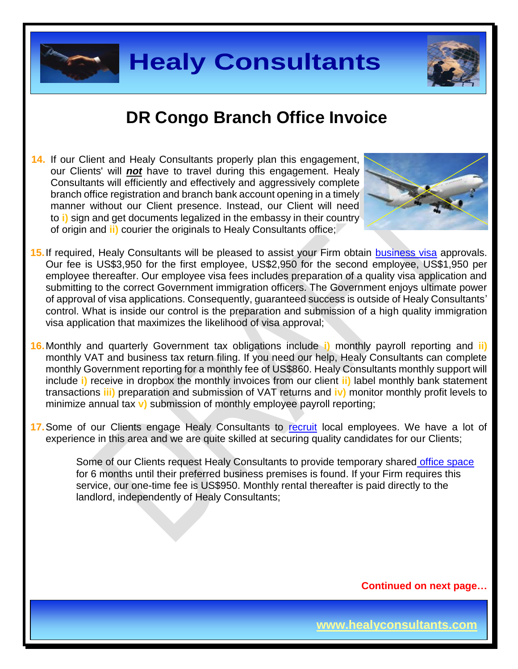



**14.** If our Client and Healy Consultants properly plan this engagement, our Clients' will *not* have to travel during this engagement. Healy Consultants will efficiently and effectively and aggressively complete branch office registration and branch bank account opening in a timely manner without our Client presence. Instead, our Client will need to **i)** sign and get documents legalized in the embassy in their country of origin and **ii)** courier the originals to Healy Consultants office;



- **15.**If required, Healy Consultants will be pleased to assist your Firm obtain [business visa](http://www.healyconsultants.com/corporate-advisory-services/migration/) approvals. Our fee is US\$3,950 for the first employee, US\$2,950 for the second employee, US\$1,950 per employee thereafter. Our employee visa fees includes preparation of a quality visa application and submitting to the correct Government immigration officers. The Government enjoys ultimate power of approval of visa applications. Consequently, guaranteed success is outside of Healy Consultants' control. What is inside our control is the preparation and submission of a high quality immigration visa application that maximizes the likelihood of visa approval;
- **16.**Monthly and quarterly Government tax obligations include **i)** monthly payroll reporting and **ii)** monthly VAT and business tax return filing. If you need our help, Healy Consultants can complete monthly Government reporting for a monthly fee of US\$860. Healy Consultants monthly support will include **i)** receive in dropbox the monthly invoices from our client **ii)** label monthly bank statement transactions **iii)** preparation and submission of VAT returns and **iv)** monitor monthly profit levels to minimize annual tax **v)** submission of monthly employee payroll reporting;
- 17. Some of our Clients engage Healy Consultants to [recruit](http://www.healyconsultants.com/corporate-outsourcing-services/how-we-help-our-clients-recruit-quality-employees/) local employees. We have a lot of experience in this area and we are quite skilled at securing quality candidates for our Clients;

Some of our Clients request Healy Consultants to provide temporary shared [office space](http://www.healyconsultants.com/virtual-office/) for 6 months until their preferred business premises is found. If your Firm requires this service, our one-time fee is US\$950. Monthly rental thereafter is paid directly to the landlord, independently of Healy Consultants;

**Continued on next page…**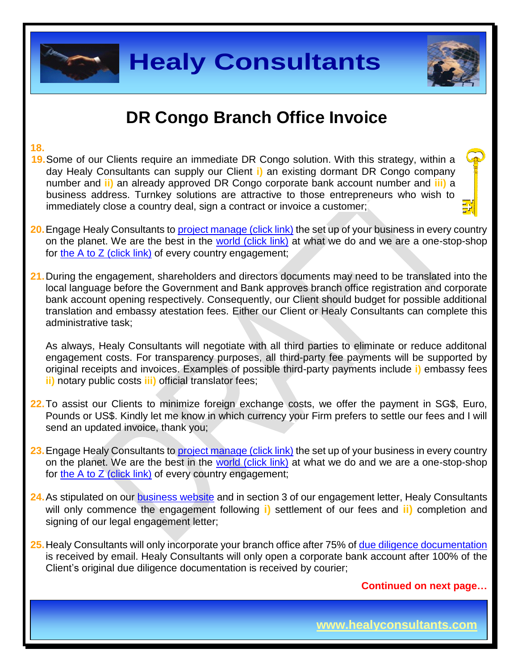

#### **18.**

- **19.**Some of our Clients require an immediate DR Congo solution. With this strategy, within a day Healy Consultants can supply our Client **i)** an existing dormant DR Congo company number and **ii)** an already approved DR Congo corporate bank account number and **iii)** a business address. Turnkey solutions are attractive to those entrepreneurs who wish to immediately close a country deal, sign a contract or invoice a customer;
- **20.**Engage Healy Consultants to [project manage \(click link\)](http://www.healyconsultants.com/project-manage-engagements/) the set up of your business in every country on the planet. We are the best in the [world \(click link\)](http://www.healyconsultants.com/best-in-the-world/) at what we do and we are a one-stop-shop for [the A to Z \(click link\)](http://www.healyconsultants.com/a-to-z-of-business-set-up/) of every country engagement;
- **21.**During the engagement, shareholders and directors documents may need to be translated into the local language before the Government and Bank approves branch office registration and corporate bank account opening respectively. Consequently, our Client should budget for possible additional translation and embassy atestation fees. Either our Client or Healy Consultants can complete this administrative task;

As always, Healy Consultants will negotiate with all third parties to eliminate or reduce additonal engagement costs. For transparency purposes, all third-party fee payments will be supported by original receipts and invoices. Examples of possible third-party payments include **i)** embassy fees **ii)** notary public costs **iii)** official translator fees;

- **22.**To assist our Clients to minimize foreign exchange costs, we offer the payment in SG\$, Euro, Pounds or US\$. Kindly let me know in which currency your Firm prefers to settle our fees and I will send an updated invoice, thank you;
- 23. Engage Healy Consultants to [project manage \(click](http://www.healyconsultants.com/project-manage-engagements/) link) the set up of your business in every country on the planet. We are the best in the [world \(click link\)](http://www.healyconsultants.com/best-in-the-world/) at what we do and we are a one-stop-shop for the A to  $Z$  (click link) of every country engagement;
- 24. As stipulated on our **business website** and in section 3 of our engagement letter, Healy Consultants will only commence the engagement following **i)** settlement of our fees and **ii)** completion and signing of our legal engagement letter;
- **25.**Healy Consultants will only incorporate your branch office after 75% of [due diligence documentation](http://www.healyconsultants.com/due-diligence/) is received by email. Healy Consultants will only open a corporate bank account after 100% of the Client's original due diligence documentation is received by courier;

**Continued on next page…**